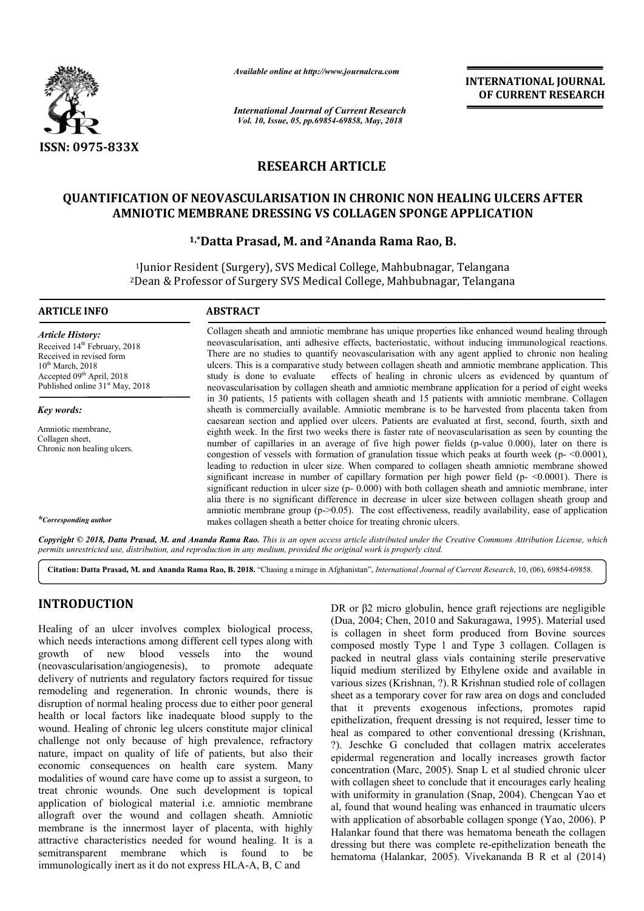

*Available online at http://www.journalcra.com*

*International Journal of Current Research Vol. 10, Issue, 05, pp.69854-69858, May, 2018*

**INTERNATIONAL JOURNAL OF CURRENT RESEARCH**

# **RESEARCH ARTICLE**

## **QUANTIFICATION OF NEOVASCULARISATION IN CHRONIC NON HEALING ULCERS AFTER**  FICATION OF NEOVASCULARISATION IN CHRONIC NON HEALING ULCER<br>AMNIOTIC MEMBRANE DRESSING VS COLLAGEN SPONGE APPLICATION

## **1,\*Datta Prasad, M. and Datta 2Ananda Rama Rao, B.**

1Junior Resident (Surgery), SVS Medical College, Mahbubnagar, Telangana <sup>1</sup>Junior Resident (Surgery), SVS Medical College, Mahbubnagar, Telangana<br><sup>2</sup>Dean & Professor of Surgery SVS Medical College, Mahbubnagar, Telangana

| <b>ARTICLE INFO</b>                                                                                                                                                                                                     | <b>ABSTRACT</b>                                                                                                                                                                                                                                                                                                                                                                                                                                                                                                                                                                                                                                                                                                                                                                                                                                                                                                                                                              |  |  |
|-------------------------------------------------------------------------------------------------------------------------------------------------------------------------------------------------------------------------|------------------------------------------------------------------------------------------------------------------------------------------------------------------------------------------------------------------------------------------------------------------------------------------------------------------------------------------------------------------------------------------------------------------------------------------------------------------------------------------------------------------------------------------------------------------------------------------------------------------------------------------------------------------------------------------------------------------------------------------------------------------------------------------------------------------------------------------------------------------------------------------------------------------------------------------------------------------------------|--|--|
| <b>Article History:</b><br>Received 14 <sup>th</sup> February, 2018<br>Received in revised form<br>10 <sup>th</sup> March, 2018<br>Accepted 09 <sup>th</sup> April, 2018<br>Published online 31 <sup>st</sup> May, 2018 | Collagen sheath and amniotic membrane has unique properties like enhanced wound healing through<br>neovascularisation, anti adhesive effects, bacteriostatic, without inducing immunological reactions.<br>There are no studies to quantify neovascularisation with any agent applied to chronic non healing<br>ulcers. This is a comparative study between collagen sheath and amniotic membrane application. This<br>study is done to evaluate effects of healing in chronic ulcers as evidenced by quantum of<br>neovascularisation by collagen sheath and amniotic membrane application for a period of eight weeks                                                                                                                                                                                                                                                                                                                                                      |  |  |
| Key words:                                                                                                                                                                                                              | in 30 patients, 15 patients with collagen sheath and 15 patients with amniotic membrane. Collagen<br>sheath is commercially available. Amniotic membrane is to be harvested from placenta taken from                                                                                                                                                                                                                                                                                                                                                                                                                                                                                                                                                                                                                                                                                                                                                                         |  |  |
| Amniotic membrane.<br>Collagen sheet,<br>Chronic non healing ulcers.                                                                                                                                                    | caesarean section and applied over ulcers. Patients are evaluated at first, second, fourth, sixth and<br>eighth week. In the first two weeks there is faster rate of neovascularisation as seen by counting the<br>number of capillaries in an average of five high power fields (p-value 0.000), later on there is<br>congestion of vessels with formation of granulation tissue which peaks at fourth week ( $p$ - $\leq$ 0.0001),<br>leading to reduction in ulcer size. When compared to collagen sheath amniotic membrane showed<br>significant increase in number of capillary formation per high power field $(p - \le 0.0001)$ . There is<br>significant reduction in ulcer size $(p - 0.000)$ with both collagen sheath and amniotic membrane, inter<br>alia there is no significant difference in decrease in ulcer size between collagen sheath group and<br>amniotic membrane group (p->0.05). The cost effectiveness, readily availability, ease of application |  |  |
| *Corresponding author                                                                                                                                                                                                   | makes collagen sheath a better choice for treating chronic ulcers.                                                                                                                                                                                                                                                                                                                                                                                                                                                                                                                                                                                                                                                                                                                                                                                                                                                                                                           |  |  |
|                                                                                                                                                                                                                         | Conveight @ 2018, Datta Prasad, M, and Ananda Rama Rao. This is an onen access article distributed under the Creative Commons Attribution License, which                                                                                                                                                                                                                                                                                                                                                                                                                                                                                                                                                                                                                                                                                                                                                                                                                     |  |  |

Copyright © 2018, Datta Prasad, M. and Ananda Rama Rao. This is an open access article distributed under the Creative Commons Attribution License, which permits unrestricted use, distribution, and reproduction in any medium, provided the original work is properly cited.

Citation: Datta Prasad, M. and Ananda Rama Rao, B. 2018. "Chasing a mirage in Afghanistan", *International Journal of Current Research*, 10, (06), 69854-69858.

## **INTRODUCTION**

Healing of an ulcer involves complex biological process, which needs interactions among different cell types along with growth of new blood vessels into the wound (neovascularisation/angiogenesis), to promote adequate delivery of nutrients and regulatory factors required for tissue remodeling and regeneration. In chronic wounds, there is disruption of normal healing process due to either poor general health or local factors like inadequate blood supply to the wound. Healing of chronic leg ulcers constitute major clinical challenge not only because of high prevalence, refractory nature, impact on quality of life of patients, but also their economic consequences on health care system. Many modalities of wound care have come up to assist a surgeon, to treat chronic wounds. One such development is topical application of biological material i.e. amniotic membrane allograft over the wound and collagen sheath. Amniotic membrane is the innermost layer of placenta, with highly attractive characteristics needed for wound healing. It is a semitransparent membrane which is found to be immunologically inert as it do not express HLA-A, B, C and actors required for tissue<br>pronic wounds, there is<br>due to either poor general<br>ate blood supply to the<br>constitute major clinical onic wounds. One such development is topic<br>on of biological material i.e. amniotic membra<br>over the wound and collagen sheath. Amnio<br>e is the innermost layer of placenta, with high<br>characteristics needed for wound healing.

DR or β2 micro globulin, hence graft rejections are negligible (Dua, 2004; Chen, 2010 and Sakuragawa, 1995). Material used is collagen in sheet form produced from Bovine sources composed mostly Type 1 and Type 3 collagen. Collagen is packed in neutral glass vials containing sterile preservative liquid medium sterilized by Ethylene oxide and available in various sizes (Krishnan, ?). R Krishnan studied role of collagen sheet as a temporary cover for raw area on dogs and concluded that it prevents exogenous infections, promotes rapid epithelization, frequent dressing is not required, lesser time to heal as compared to other conventional dressing (Krishnan, ?). Jeschke G concluded that collagen matrix accelerates epidermal regeneration and locally increases growth factor concentration (Marc, 2005). Snap L et al studied chronic ulcer with collagen sheet to conclude that it encourages early healing with uniformity in granulation ( (Snap, 2004). Chengcan Yao et al, found that wound healing was enhanced in traumatic ulcers al, found that wound healing was enhanced in traumatic ulcers with application of absorbable collagen sponge (Yao, 2006). P Halankar found that there was hematoma beneath the collagen Halankar found that there was hematoma beneath the collagen dressing but there was complete re-epithelization beneath the hematoma (Halankar, 2005). Vivekananda B R et al (2014) DR or β2 micro globulin, hence graft rejections are negligible (Dua, 2004; Chen, 2010 and Sakuragawa, 1995). Material used is collagen in sheet form produced from Bovine sources composed mostly Type 1 and Type 3 collagen. ). Jeschke G concluded that collagen matrix accelerates pidermal regeneration and locally increases growth factor oncentration (Marc, 2005). Snap L et al studied chronic ulcer with collagen sheet to conclude that it encour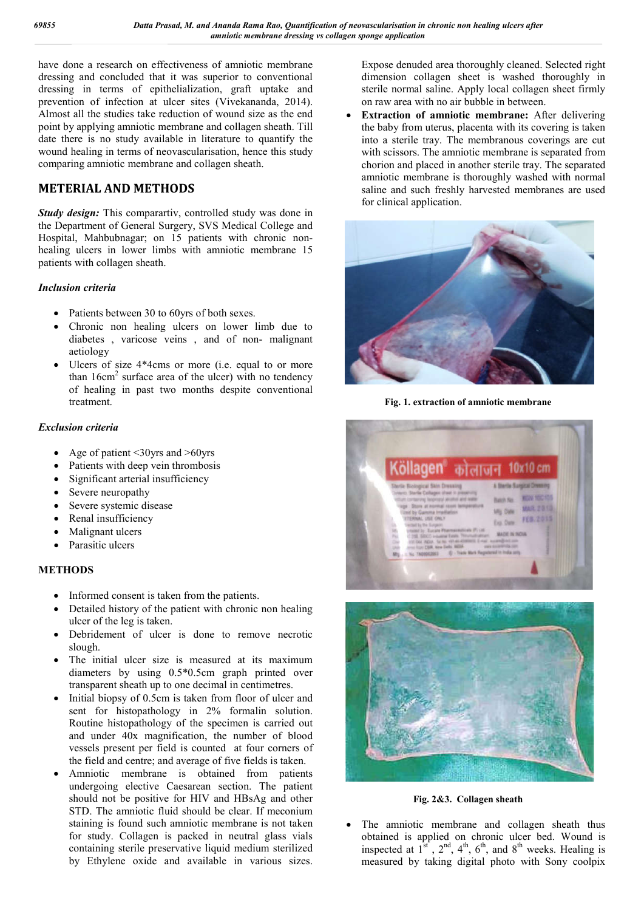have done a research on effectiveness of amniotic membrane dressing and concluded that it was superior to conventional dressing in terms of epithelialization, graft uptake and prevention of infection at ulcer sites (Vivekananda, 2014). Almost all the studies take reduction of wound size as the end point by applying amniotic membrane and collagen sheath. Till date there is no study available in literature to quantify the wound healing in terms of neovascularisation, hence this study comparing amniotic membrane and collagen sheath.

## **METERIAL AND METHODS**

*Study design:* This comparartiv, controlled study was done in the Department of General Surgery, SVS Medical College and Hospital, Mahbubnagar; on 15 patients with chronic nonhealing ulcers in lower limbs with amniotic membrane 15 patients with collagen sheath.

### *Inclusion criteria*

- Patients between 30 to 60yrs of both sexes.
- Chronic non healing ulcers on lower limb due to diabetes , varicose veins , and of non- malignant aetiology
- Ulcers of size 4\*4cms or more (i.e. equal to or more than  $16 \text{cm}^2$  surface area of the ulcer) with no tendency of healing in past two months despite conventional treatment.

### *Exclusion criteria*

- Age of patient <30yrs and >60yrs
- Patients with deep vein thrombosis
- Significant arterial insufficiency
- Severe neuropathy
- Severe systemic disease
- Renal insufficiency
- Malignant ulcers
- Parasitic ulcers

## **METHODS**

- Informed consent is taken from the patients.
- Detailed history of the patient with chronic non healing ulcer of the leg is taken.
- Debridement of ulcer is done to remove necrotic slough.
- The initial ulcer size is measured at its maximum diameters by using 0.5\*0.5cm graph printed over transparent sheath up to one decimal in centimetres.
- Initial biopsy of 0.5cm is taken from floor of ulcer and sent for histopathology in 2% formalin solution. Routine histopathology of the specimen is carried out and under 40x magnification, the number of blood vessels present per field is counted at four corners of the field and centre; and average of five fields is taken.
- Amniotic membrane is obtained from patients undergoing elective Caesarean section. The patient should not be positive for HIV and HBsAg and other STD. The amniotic fluid should be clear. If meconium staining is found such amniotic membrane is not taken for study. Collagen is packed in neutral glass vials containing sterile preservative liquid medium sterilized by Ethylene oxide and available in various sizes.

Expose denuded area thoroughly cleaned. Selected right dimension collagen sheet is washed thoroughly in sterile normal saline. Apply local collagen sheet firmly on raw area with no air bubble in between.

 **Extraction of amniotic membrane:** After delivering the baby from uterus, placenta with its covering is taken into a sterile tray. The membranous coverings are cut with scissors. The amniotic membrane is separated from chorion and placed in another sterile tray. The separated amniotic membrane is thoroughly washed with normal saline and such freshly harvested membranes are used for clinical application.



**Fig. 1. extraction of amniotic membrane**





**Fig. 2&3. Collagen sheath**

 The amniotic membrane and collagen sheath thus obtained is applied on chronic ulcer bed. Wound is inspected at  $1^{st}$ ,  $2^{nd}$ ,  $4^{th}$ ,  $6^{th}$ , and  $8^{th}$  weeks. Healing is measured by taking digital photo with Sony coolpix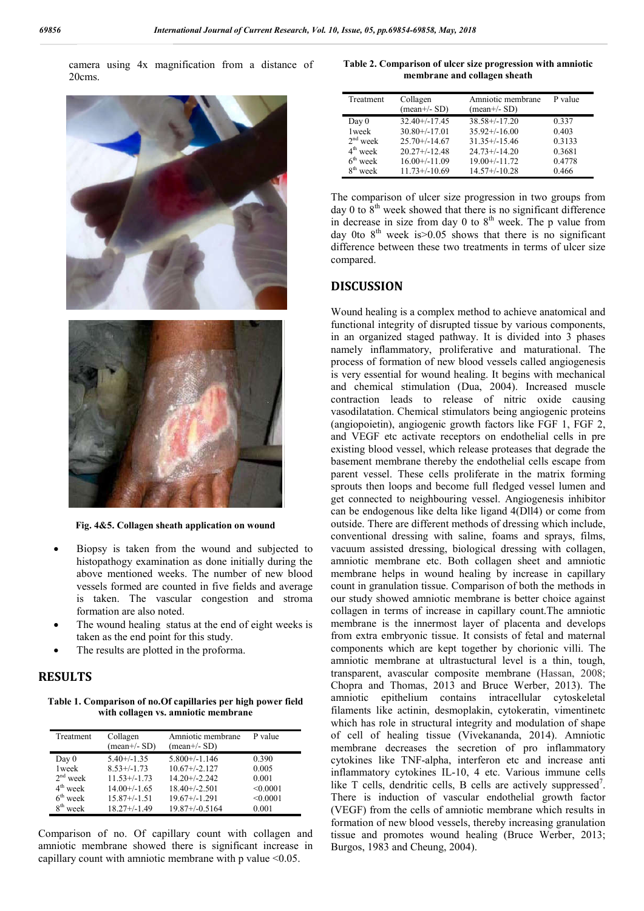camera using 4x magnification from a distance of 20cms.



**Fig. 4&5. Collagen sheath application on wound**

- Biopsy is taken from the wound and subjected to histopathogy examination as done initially during the above mentioned weeks. The number of new blood vessels formed are counted in five fields and average is taken. The vascular congestion and stroma formation are also noted.
- The wound healing status at the end of eight weeks is taken as the end point for this study.
- The results are plotted in the proforma.

#### **RESULTS**

**Table 1. Comparison of no.Of capillaries per high power field with collagen vs. amniotic membrane**

| Treatment  | Collagen<br>$(\text{mean}+/-SD)$ | Amniotic membrane<br>$(mean+/SD)$ | P value  |
|------------|----------------------------------|-----------------------------------|----------|
| Day 0      | $5.40+/-1.35$                    | $5.800+/1.146$                    | 0.390    |
| 1 week     | $8.53+/1.73$                     | $10.67 + (-2.127)$                | 0.005    |
| $2nd$ week | $11.53+/1.73$                    | $14.20 + (-2.242)$                | 0.001    |
| $4th$ week | $14.00+/1.65$                    | $18.40 + (-2.501)$                | < 0.0001 |
| $6th$ week | $15.87+/1.51$                    | $19.67+/-1.291$                   | < 0.0001 |
| $8th$ week | $18.27 + (-1.49)$                | $19.87 + (-0.5164)$               | 0.001    |

Comparison of no. Of capillary count with collagen and amniotic membrane showed there is significant increase in capillary count with amniotic membrane with p value <0.05.

**Table 2. Comparison of ulcer size progression with amniotic membrane and collagen sheath**

| Treatment               | Collagen<br>$(\text{mean}+/-SD)$ | Amniotic membrane<br>$(mean+/SD)$ | P value |
|-------------------------|----------------------------------|-----------------------------------|---------|
| Day 0                   | $32.40+/-17.45$                  | $38.58 + (-17.20)$                | 0.337   |
| 1 week                  | $30.80 + (-17.01)$               | $35.92+/16.00$                    | 0.403   |
| $2nd$ week              | $25.70 + (-14.67)$               | $31.35+/15.46$                    | 0.3133  |
| $4th$ week              | $20.27 + (-12.48)$               | $24.73+/14.20$                    | 0.3681  |
| $6th$ week              | $16.00+/11.09$                   | $19.00 + (-11.72)$                | 0.4778  |
| 8 <sup>th</sup><br>week | $11.73+/10.69$                   | $14.57+/-10.28$                   | 0.466   |

The comparison of ulcer size progression in two groups from day 0 to  $8<sup>th</sup>$  week showed that there is no significant difference in decrease in size from day  $0$  to  $8<sup>th</sup>$  week. The p value from day 0to  $8<sup>th</sup>$  week is  $> 0.05$  shows that there is no significant difference between these two treatments in terms of ulcer size compared.

#### **DISCUSSION**

Wound healing is a complex method to achieve anatomical and functional integrity of disrupted tissue by various components, in an organized staged pathway. It is divided into 3 phases namely inflammatory, proliferative and maturational. The process of formation of new blood vessels called angiogenesis is very essential for wound healing. It begins with mechanical and chemical stimulation (Dua, 2004). Increased muscle contraction leads to release of nitric oxide causing vasodilatation. Chemical stimulators being angiogenic proteins (angiopoietin), angiogenic growth factors like FGF 1, FGF 2, and VEGF etc activate receptors on endothelial cells in pre existing blood vessel, which release proteases that degrade the basement membrane thereby the endothelial cells escape from parent vessel. These cells proliferate in the matrix forming sprouts then loops and become full fledged vessel lumen and get connected to neighbouring vessel. Angiogenesis inhibitor can be endogenous like delta like ligand 4(Dll4) or come from outside. There are different methods of dressing which include, conventional dressing with saline, foams and sprays, films, vacuum assisted dressing, biological dressing with collagen, amniotic membrane etc. Both collagen sheet and amniotic membrane helps in wound healing by increase in capillary count in granulation tissue. Comparison of both the methods in our study showed amniotic membrane is better choice against collagen in terms of increase in capillary count.The amniotic membrane is the innermost layer of placenta and develops from extra embryonic tissue. It consists of fetal and maternal components which are kept together by chorionic villi. The amniotic membrane at ultrastuctural level is a thin, tough, transparent, avascular composite membrane (Hassan, 2008; Chopra and Thomas, 2013 and Bruce Werber, 2013). The amniotic epithelium contains intracellular cytoskeletal filaments like actinin, desmoplakin, cytokeratin, vimentinetc which has role in structural integrity and modulation of shape of cell of healing tissue (Vivekananda, 2014). Amniotic membrane decreases the secretion of pro inflammatory cytokines like TNF-alpha, interferon etc and increase anti inflammatory cytokines IL-10, 4 etc. Various immune cells like T cells, dendritic cells, B cells are actively suppressed<sup>7</sup>. There is induction of vascular endothelial growth factor (VEGF) from the cells of amniotic membrane which results in formation of new blood vessels, thereby increasing granulation tissue and promotes wound healing (Bruce Werber, 2013; Burgos, 1983 and Cheung, 2004).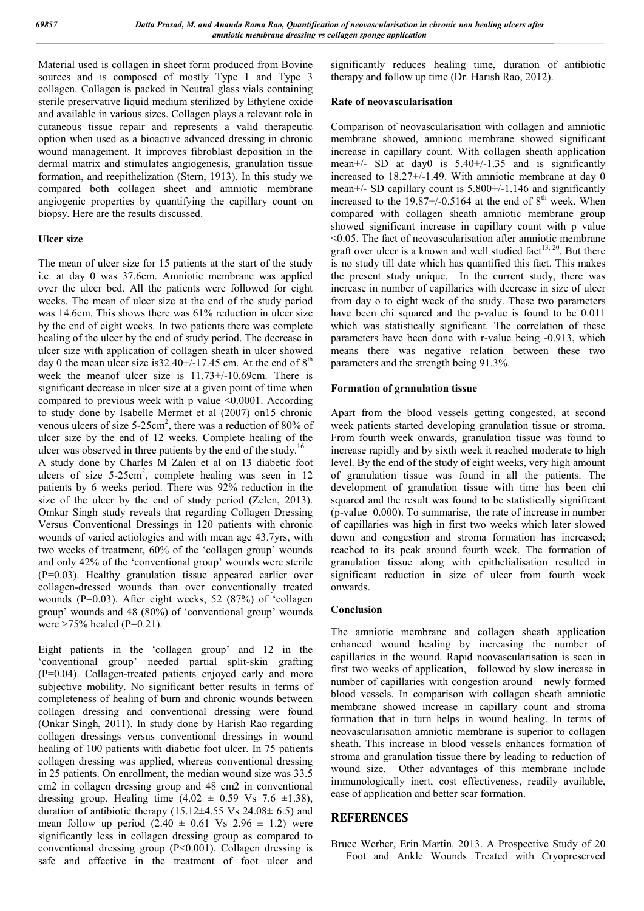Material used is collagen in sheet form produced from Bovine sources and is composed of mostly Type 1 and Type 3 collagen. Collagen is packed in Neutral glass vials containing sterile preservative liquid medium sterilized by Ethylene oxide and available in various sizes. Collagen plays a relevant role in cutaneous tissue repair and represents a valid therapeutic option when used as a bioactive advanced dressing in chronic wound management. It improves fibroblast deposition in the dermal matrix and stimulates angiogenesis, granulation tissue formation, and reepithelization (Stern, 1913). In this study we compared both collagen sheet and amniotic membrane angiogenic properties by quantifying the capillary count on biopsy. Here are the results discussed.

#### **Ulcer size**

The mean of ulcer size for 15 patients at the start of the study i.e. at day 0 was 37.6cm. Amniotic membrane was applied over the ulcer bed. All the patients were followed for eight weeks. The mean of ulcer size at the end of the study period was 14.6cm. This shows there was 61% reduction in ulcer size by the end of eight weeks. In two patients there was complete healing of the ulcer by the end of study period. The decrease in ulcer size with application of collagen sheath in ulcer showed day 0 the mean ulcer size is  $32.40 + (-17.45)$  cm. At the end of  $8<sup>th</sup>$ week the meanof ulcer size is 11.73+/-10.69cm. There is significant decrease in ulcer size at a given point of time when compared to previous week with p value <0.0001. According to study done by Isabelle Mermet et al (2007) on15 chronic venous ulcers of size  $5{\text -}25\text{cm}^2$ , there was a reduction of 80% of ulcer size by the end of 12 weeks. Complete healing of the ulcer was observed in three patients by the end of the study.<sup>16</sup> A study done by Charles M Zalen et al on 13 diabetic foot ulcers of size  $5{\text -}25\text{cm}^2$ , complete healing was seen in 12 patients by 6 weeks period. There was 92% reduction in the size of the ulcer by the end of study period (Zelen, 2013). Omkar Singh study reveals that regarding Collagen Dressing Versus Conventional Dressings in 120 patients with chronic wounds of varied aetiologies and with mean age 43.7yrs, with two weeks of treatment, 60% of the 'collagen group' wounds and only 42% of the 'conventional group' wounds were sterile (P=0.03). Healthy granulation tissue appeared earlier over collagen-dressed wounds than over conventionally treated wounds (P=0.03). After eight weeks, 52 (87%) of 'collagen group' wounds and 48 (80%) of 'conventional group' wounds were  $>75\%$  healed (P=0.21).

Eight patients in the 'collagen group' and 12 in the 'conventional group' needed partial split-skin grafting (P=0.04). Collagen-treated patients enjoyed early and more subjective mobility. No significant better results in terms of completeness of healing of burn and chronic wounds between collagen dressing and conventional dressing were found (Onkar Singh, 2011). In study done by Harish Rao regarding collagen dressings versus conventional dressings in wound healing of 100 patients with diabetic foot ulcer. In 75 patients collagen dressing was applied, whereas conventional dressing in 25 patients. On enrollment, the median wound size was 33.5 cm2 in collagen dressing group and 48 cm2 in conventional dressing group. Healing time  $(4.02 \pm 0.59 \text{ Vs } 7.6 \pm 1.38)$ , duration of antibiotic therapy  $(15.12\pm4.55 \text{ Vs } 24.08\pm 6.5)$  and mean follow up period  $(2.40 \pm 0.61$  Vs  $2.96 \pm 1.2)$  were significantly less in collagen dressing group as compared to conventional dressing group (P<0.001). Collagen dressing is safe and effective in the treatment of foot ulcer and

significantly reduces healing time, duration of antibiotic therapy and follow up time (Dr. Harish Rao, 2012).

#### **Rate of neovascularisation**

Comparison of neovascularisation with collagen and amniotic membrane showed, amniotic membrane showed significant increase in capillary count. With collagen sheath application mean+/- SD at day0 is  $5.40+/-1.35$  and is significantly increased to 18.27+/-1.49. With amniotic membrane at day 0 mean+/- SD capillary count is 5.800+/-1.146 and significantly increased to the  $19.87+/0.5164$  at the end of  $8<sup>th</sup>$  week. When compared with collagen sheath amniotic membrane group showed significant increase in capillary count with p value <0.05. The fact of neovascularisation after amniotic membrane graft over ulcer is a known and well studied fact<sup>13, 20</sup>. But there is no study till date which has quantified this fact. This makes the present study unique. In the current study, there was increase in number of capillaries with decrease in size of ulcer from day o to eight week of the study. These two parameters have been chi squared and the p-value is found to be 0.011 which was statistically significant. The correlation of these parameters have been done with r-value being -0.913, which means there was negative relation between these two parameters and the strength being 91.3%.

#### **Formation of granulation tissue**

Apart from the blood vessels getting congested, at second week patients started developing granulation tissue or stroma. From fourth week onwards, granulation tissue was found to increase rapidly and by sixth week it reached moderate to high level. By the end of the study of eight weeks, very high amount of granulation tissue was found in all the patients. The development of granulation tissue with time has been chi squared and the result was found to be statistically significant (p-value=0.000). To summarise, the rate of increase in number of capillaries was high in first two weeks which later slowed down and congestion and stroma formation has increased; reached to its peak around fourth week. The formation of granulation tissue along with epithelialisation resulted in significant reduction in size of ulcer from fourth week onwards.

#### **Conclusion**

The amniotic membrane and collagen sheath application enhanced wound healing by increasing the number of capillaries in the wound. Rapid neovascularisation is seen in first two weeks of application, followed by slow increase in number of capillaries with congestion around newly formed blood vessels. In comparison with collagen sheath amniotic membrane showed increase in capillary count and stroma formation that in turn helps in wound healing. In terms of neovascularisation amniotic membrane is superior to collagen sheath. This increase in blood vessels enhances formation of stroma and granulation tissue there by leading to reduction of wound size. Other advantages of this membrane include immunologically inert, cost effectiveness, readily available, ease of application and better scar formation.

## **REFERENCES**

Bruce Werber, Erin Martin. 2013. A Prospective Study of 20 Foot and Ankle Wounds Treated with Cryopreserved